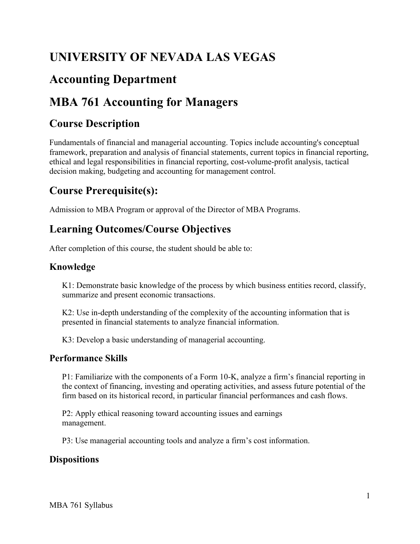# **UNIVERSITY OF NEVADA LAS VEGAS**

# **Accounting Department**

# **MBA 761 Accounting for Managers**

### **Course Description**

Fundamentals of financial and managerial accounting. Topics include accounting's conceptual framework, preparation and analysis of financial statements, current topics in financial reporting, ethical and legal responsibilities in financial reporting, cost-volume-profit analysis, tactical decision making, budgeting and accounting for management control.

## **Course Prerequisite(s):**

Admission to MBA Program or approval of the Director of MBA Programs.

## **Learning Outcomes/Course Objectives**

After completion of this course, the student should be able to:

#### **Knowledge**

K1: Demonstrate basic knowledge of the process by which business entities record, classify, summarize and present economic transactions.

K2: Use in-depth understanding of the complexity of the accounting information that is presented in financial statements to analyze financial information.

K3: Develop a basic understanding of managerial accounting.

#### **Performance Skills**

P1: Familiarize with the components of a Form 10-K, analyze a firm's financial reporting in the context of financing, investing and operating activities, and assess future potential of the firm based on its historical record, in particular financial performances and cash flows.

P2: Apply ethical reasoning toward accounting issues and earnings management.

P3: Use managerial accounting tools and analyze a firm's cost information.

#### **Dispositions**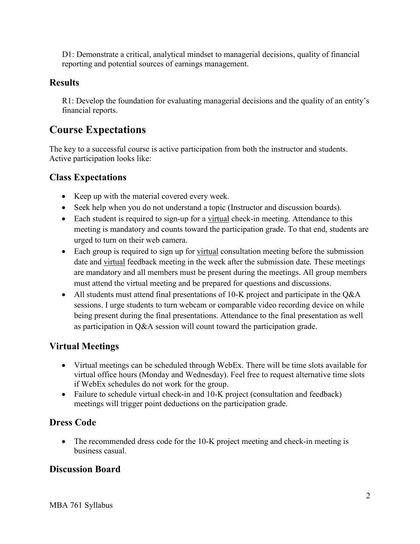D1: Demonstrate a critical, analytical mindset to managerial decisions, quality of financial reporting and potential sources of earnings management.

#### **Results**

R1: Develop the foundation for evaluating managerial decisions and the quality of an entity's financial reports.

#### **Course Expectations**

The key to a successful course is active participation from both the instructor and students. Active participation looks like:

#### **Class Expectations**

- Keep up with the material covered every week.
- Seek help when you do not understand a topic (Instructor and discussion boards).
- Each student is required to sign-up for a virtual check-in meeting. Attendance to this meeting is mandatory and counts toward the participation grade. To that end, students are urged to turn on their web camera.
- Each group is required to sign up for virtual consultation meeting before the submission date and virtual feedback meeting in the week after the submission date. These meetings are mandatory and all members must be present during the meetings. All group members must attend the virtual meeting and be prepared for questions and discussions.
- All students must attend final presentations of 10-K project and participate in the Q&A sessions. I urge students to turn webcam or comparable video recording device on while being present during the final presentations. Attendance to the final presentation as well as participation in Q&A session will count toward the participation grade.

#### **Virtual Meetings**

- if WebEx schedules do not work for the group. • Virtual meetings can be scheduled through WebEx. There will be time slots available for virtual office hours (Monday and Wednesday). Feel free to request alternative time slots
- Failure to schedule virtual check-in and 10-K project (consultation and feedback) meetings will trigger point deductions on the participation grade.

#### **Dress Code**

• The recommended dress code for the 10-K project meeting and check-in meeting is business casual.

#### **Discussion Board**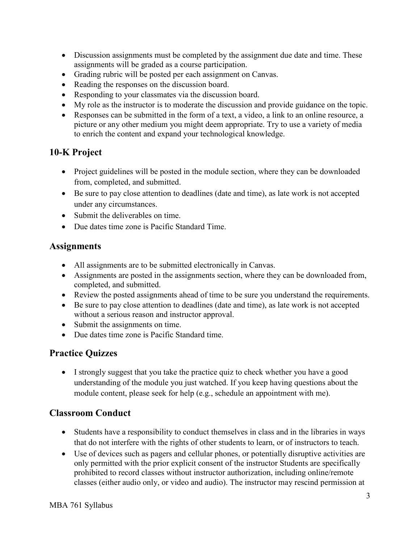- assignments will be graded as a course participation. • Discussion assignments must be completed by the assignment due date and time. These
- Grading rubric will be posted per each assignment on Canvas.
- Reading the responses on the discussion board.
- Responding to your classmates via the discussion board.
- My role as the instructor is to moderate the discussion and provide guidance on the topic.
- Responses can be submitted in the form of a text, a video, a link to an online resource, a picture or any other medium you might deem appropriate. Try to use a variety of media to enrich the content and expand your technological knowledge.

#### **10-K Project**

- Project guidelines will be posted in the module section, where they can be downloaded from, completed, and submitted.
- Be sure to pay close attention to deadlines (date and time), as late work is not accepted under any circumstances.
- Submit the deliverables on time.
- Due dates time zone is Pacific Standard Time.

#### **Assignments**

- All assignments are to be submitted electronically in Canvas.
- Assignments are posted in the assignments section, where they can be downloaded from, completed, and submitted.
- Review the posted assignments ahead of time to be sure you understand the requirements.
- Be sure to pay close attention to deadlines (date and time), as late work is not accepted without a serious reason and instructor approval.
- Submit the assignments on time.
- Due dates time zone is Pacific Standard time.

#### **Practice Quizzes**

 • I strongly suggest that you take the practice quiz to check whether you have a good understanding of the module you just watched. If you keep having questions about the module content, please seek for help (e.g., schedule an appointment with me).

#### **Classroom Conduct**

- Students have a responsibility to conduct themselves in class and in the libraries in ways that do not interfere with the rights of other students to learn, or of instructors to teach.
- classes (either audio only, or video and audio). The instructor may rescind permission at • Use of devices such as pagers and cellular phones, or potentially disruptive activities are only permitted with the prior explicit consent of the instructor Students are specifically prohibited to record classes without instructor authorization, including online/remote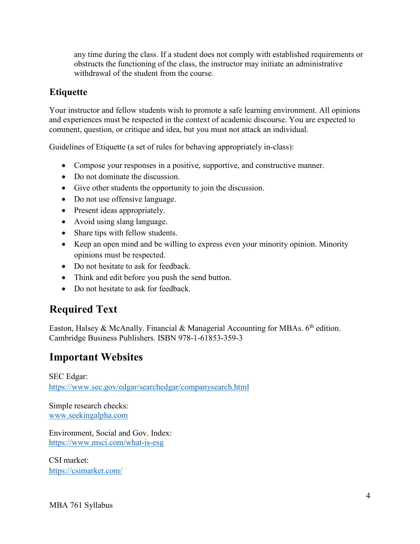any time during the class. If a student does not comply with established requirements or obstructs the functioning of the class, the instructor may initiate an administrative withdrawal of the student from the course.

#### **Etiquette**

Your instructor and fellow students wish to promote a safe learning environment. All opinions and experiences must be respected in the context of academic discourse. You are expected to comment, question, or critique and idea, but you must not attack an individual.

Guidelines of Etiquette (a set of rules for behaving appropriately in-class):

- Compose your responses in a positive, supportive, and constructive manner.
- Do not dominate the discussion.
- Give other students the opportunity to join the discussion.
- Do not use offensive language.
- Present ideas appropriately.
- Avoid using slang language.
- Share tips with fellow students.
- Keep an open mind and be willing to express even your minority opinion. Minority opinions must be respected.
- Do not hesitate to ask for feedback.
- Think and edit before you push the send button.
- Do not hesitate to ask for feedback.

## **Required Text**

Easton, Halsey & McAnally. Financial & Managerial Accounting for MBAs. 6<sup>th</sup> edition. Cambridge Business Publishers. ISBN 978-1-61853-359-3

#### **Important Websites**

https://www.sec.gov/edgar/searchedgar/companysearch.html<br>Simple research checks: SEC Edgar:

[www.seekingalpha.com](http://www.seekingalpha.com/) 

Environment, Social and Gov. Index: l, [Environment, Social and Gov. Inde](https://www.msci.com/what-is-esg)x:<br>https://www.msci.com/what-is-esg<br>CSI market:

<https://csimarket.com/>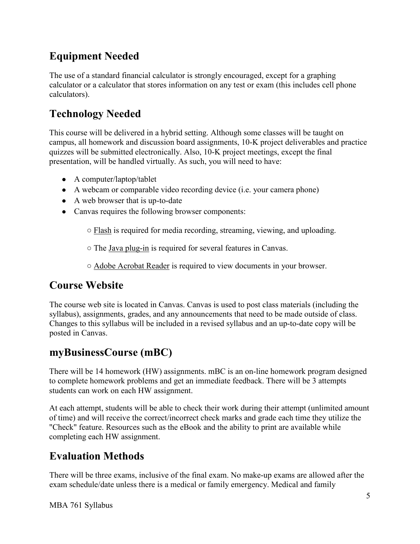# **Equipment Needed**

 The use of a standard financial calculator is strongly encouraged, except for a graphing calculator or a calculator that stores information on any test or exam (this includes cell phone calculators).

# **Technology Needed**

 presentation, will be handled virtually. As such, you will need to have: This course will be delivered in a hybrid setting. Although some classes will be taught on campus, all homework and discussion board assignments, 10-K project deliverables and practice quizzes will be submitted electronically. Also, 10-K project meetings, except the final

- A computer/laptop/tablet
- A webcam or comparable video recording device (i.e. your camera phone)
- A web browser that is up-to-date
- Canvas requires the following browser components:
	- Flash is required for media recording, streaming, viewing, and uploading.
	- The Java plug-in is required for several features in Canvas.
	- Adobe Acrobat Reader is required to view documents in your browser.

## **Course Website**

The course web site is located in Canvas. Canvas is used to post class materials (including the syllabus), assignments, grades, and any announcements that need to be made outside of class. Changes to this syllabus will be included in a revised syllabus and an up-to-date copy will be posted in Canvas.

## **myBusinessCourse (mBC)**

There will be 14 homework (HW) assignments. mBC is an on-line homework program designed to complete homework problems and get an immediate feedback. There will be 3 attempts students can work on each HW assignment.

At each attempt, students will be able to check their work during their attempt (unlimited amount of time) and will receive the correct/incorrect check marks and grade each time they utilize the "Check" feature. Resources such as the eBook and the ability to print are available while completing each HW assignment.

## **Evaluation Methods**

 exam schedule/date unless there is a medical or family emergency. Medical and family There will be three exams, inclusive of the final exam. No make-up exams are allowed after the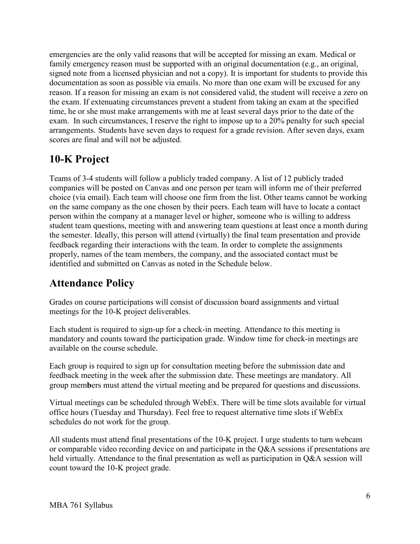reason. If a reason for missing an exam is not considered valid, the student will receive a zero on emergencies are the only valid reasons that will be accepted for missing an exam. Medical or family emergency reason must be supported with an original documentation (e.g., an original, signed note from a licensed physician and not a copy). It is important for students to provide this documentation as soon as possible via emails. No more than one exam will be excused for any the exam. If extenuating circumstances prevent a student from taking an exam at the specified time, he or she must make arrangements with me at least several days prior to the date of the exam. In such circumstances, I reserve the right to impose up to a 20% penalty for such special arrangements. Students have seven days to request for a grade revision. After seven days, exam scores are final and will not be adjusted.

# **10-K Project**

 on the same company as the one chosen by their peers. Each team will have to locate a contact Teams of 3-4 students will follow a publicly traded company. A list of 12 publicly traded companies will be posted on Canvas and one person per team will inform me of their preferred choice (via email). Each team will choose one firm from the list. Other teams cannot be working person within the company at a manager level or higher, someone who is willing to address student team questions, meeting with and answering team questions at least once a month during the semester. Ideally, this person will attend (virtually) the final team presentation and provide feedback regarding their interactions with the team. In order to complete the assignments properly, names of the team members, the company, and the associated contact must be identified and submitted on Canvas as noted in the Schedule below.

### **Attendance Policy**

Grades on course participations will consist of discussion board assignments and virtual meetings for the 10-K project deliverables.

Each student is required to sign-up for a check-in meeting. Attendance to this meeting is mandatory and counts toward the participation grade. Window time for check-in meetings are available on the course schedule.

Each group is required to sign up for consultation meeting before the submission date and feedback meeting in the week after the submission date. These meetings are mandatory. All group mem**b**ers must attend the virtual meeting and be prepared for questions and discussions.

 office hours (Tuesday and Thursday). Feel free to request alternative time slots if WebEx Virtual meetings can be scheduled through WebEx. There will be time slots available for virtual schedules do not work for the group.

All students must attend final presentations of the 10-K project. I urge students to turn webcam or comparable video recording device on and participate in the Q&A sessions if presentations are held virtually. Attendance to the final presentation as well as participation in Q&A session will count toward the 10-K project grade.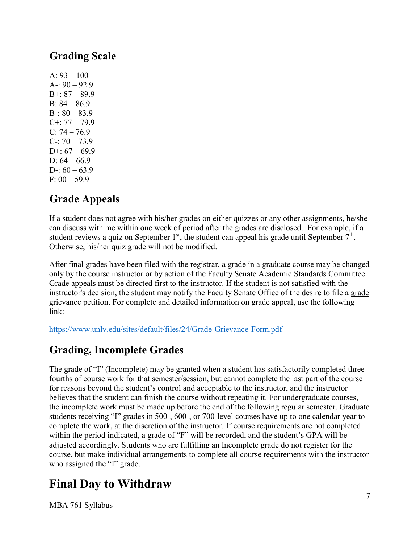## **Grading Scale**

 A: 93 – 100 A-: 90 – 92.9 B+: 87 – 89.9 B: 84 – 86.9 B-:  $80 - 83.9$  C+: 77 – 79.9  $C: 74 - 76.9$ C-:  $70 - 73.9$ D+:  $67 - 69.9$ D:  $64 - 66.9$ D-:  $60 - 63.9$  $F: 00 - 59.9$ 

## **Grade Appeals**

If a student does not agree with his/her grades on either quizzes or any other assignments, he/she can discuss with me within one week of period after the grades are disclosed. For example, if a student reviews a quiz on September  $1<sup>st</sup>$ , the student can appeal his grade until September  $7<sup>th</sup>$ . Otherwise, his/her quiz grade will not be modified.

instructor's decision, the student may notify the Faculty Senate Office of the desire to file a grade After final grades have been filed with the registrar, a grade in a graduate course may be changed only by the course instructor or by action of the Faculty Senate Academic Standards Committee. Grade appeals must be directed first to the instructor. If the student is not satisfied with the grievance petition. For complete and detailed information on grade appeal, use the following link:

<https://www.unlv.edu/sites/default/files/24/Grade-Grievance-Form.pdf>

## **Grading, Incomplete Grades**

 students receiving "I" grades in 500-, 600-, or 700-level courses have up to one calendar year to within the period indicated, a grade of "F" will be recorded, and the student's GPA will be The grade of "I" (Incomplete) may be granted when a student has satisfactorily completed threefourths of course work for that semester/session, but cannot complete the last part of the course for reasons beyond the student's control and acceptable to the instructor, and the instructor believes that the student can finish the course without repeating it. For undergraduate courses, the incomplete work must be made up before the end of the following regular semester. Graduate complete the work, at the discretion of the instructor. If course requirements are not completed adjusted accordingly. Students who are fulfilling an Incomplete grade do not register for the course, but make individual arrangements to complete all course requirements with the instructor who assigned the "I" grade.

# **Final Day to Withdraw**

MBA 761 Syllabus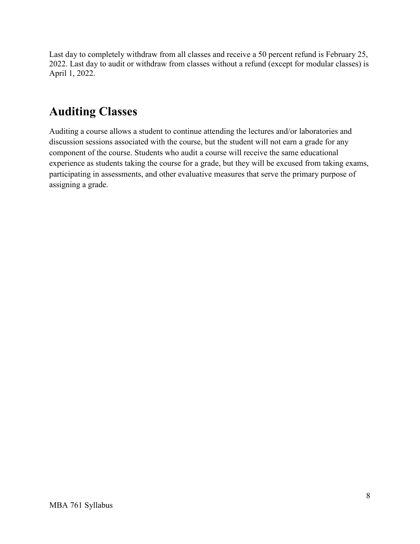Last day to completely withdraw from all classes and receive a 50 percent refund is February 25, 2022. Last day to audit or withdraw from classes without a refund (except for modular classes) is April 1, 2022.

# **Auditing Classes**

Auditing a course allows a student to continue attending the lectures and/or laboratories and discussion sessions associated with the course, but the student will not earn a grade for any component of the course. Students who audit a course will receive the same educational experience as students taking the course for a grade, but they will be excused from taking exams, participating in assessments, and other evaluative measures that serve the primary purpose of assigning a grade.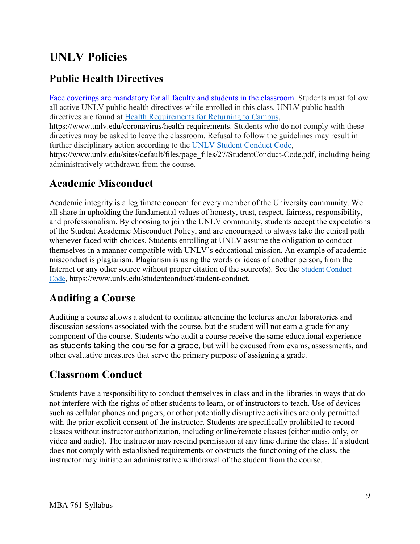# **UNLV Policies**

## **Public Health Directives**

directives are found at **Health Requirements for Returning to Campus**, Face coverings are mandatory for all faculty and students in the classroom. Students must follow all active UNLV public health directives while enrolled in this class. UNLV public health <https://www.unlv.edu/coronavirus/health-requirements>. Students who do not comply with these directives may be asked to leave the classroom. Refusal to follow the guidelines may result in further disciplinary action according to the [UNLV Student Conduct Code,](https://www.unlv.edu/sites/default/files/page_files/27/StudentConduct-Code.pdf) [https://www.unlv.edu/sites/default/files/page\\_files/27/StudentConduct-Code.pdf](https://www.unlv.edu/sites/default/files/page_files/27/StudentConduct-Code.pdf), including being administratively withdrawn from the course.

#### **Academic Misconduct**

Academic integrity is a legitimate concern for every member of the University community. We all share in upholding the fundamental values of honesty, trust, respect, fairness, responsibility, and professionalism. By choosing to join the UNLV community, students accept the expectations of the Student Academic Misconduct Policy, and are encouraged to always take the ethical path whenever faced with choices. Students enrolling at UNLV assume the obligation to conduct themselves in a manner compatible with UNLV's educational mission. An example of academic misconduct is plagiarism. Plagiarism is using the words or ideas of another person, from the Internet or any other source without proper citation of the source(s). See the [Student Conduct](https://www.unlv.edu/sites/default/files/page_files/27/StudentConduct-Code.pdf)  [Code,](https://www.unlv.edu/sites/default/files/page_files/27/StudentConduct-Code.pdf)<https://www.unlv.edu/studentconduct/student-conduct>.

### **Auditing a Course**

 discussion sessions associated with the course, but the student will not earn a grade for any other evaluative measures that serve the primary purpose of assigning a grade. Auditing a course allows a student to continue attending the lectures and/or laboratories and component of the course. Students who audit a course receive the same educational experience as students taking the course for a grade, but will be excused from exams, assessments, and

### **Classroom Conduct**

 video and audio). The instructor may rescind permission at any time during the class. If a student Students have a responsibility to conduct themselves in class and in the libraries in ways that do not interfere with the rights of other students to learn, or of instructors to teach. Use of devices such as cellular phones and pagers, or other potentially disruptive activities are only permitted with the prior explicit consent of the instructor. Students are specifically prohibited to record classes without instructor authorization, including online/remote classes (either audio only, or does not comply with established requirements or obstructs the functioning of the class, the instructor may initiate an administrative withdrawal of the student from the course.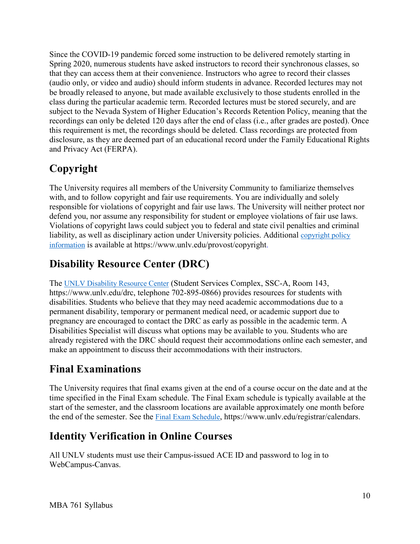Since the COVID-19 pandemic forced some instruction to be delivered remotely starting in Spring 2020, numerous students have asked instructors to record their synchronous classes, so that they can access them at their convenience. Instructors who agree to record their classes (audio only, or video and audio) should inform students in advance. Recorded lectures may not be broadly released to anyone, but made available exclusively to those students enrolled in the class during the particular academic term. Recorded lectures must be stored securely, and are subject to the Nevada System of Higher Education's Records Retention Policy, meaning that the recordings can only be deleted 120 days after the end of class (i.e., after grades are posted). Once this requirement is met, the recordings should be deleted. Class recordings are protected from disclosure, as they are deemed part of an educational record under the Family Educational Rights and Privacy Act (FERPA).

# **Copyright**

liability, as well as disciplinary action under University policies. Additional copyright policy The University requires all members of the University Community to familiarize themselves with, and to follow copyright and fair use requirements. You are individually and solely responsible for violations of copyright and fair use laws. The University will neither protect nor defend you, nor assume any responsibility for student or employee violations of fair use laws. Violations of copyright laws could subject you to federal and state civil penalties and criminal [information](http://www.unlv.edu/provost/copyright) is available at [https://www.unlv.edu/provost/copyright.](https://www.unlv.edu/provost/copyright)

# **Disability Resource Center (DRC)**

The **UNLV Disability Resource Center** (Student Services Complex, SSC-A, Room 143, [https://www.unlv.edu/drc,](https://www.unlv.edu/drc) telephone 702-895-0866) provides resources for students with disabilities. Students who believe that they may need academic accommodations due to a permanent disability, temporary or permanent medical need, or academic support due to pregnancy are encouraged to contact the DRC as early as possible in the academic term. A Disabilities Specialist will discuss what options may be available to you. Students who are already registered with the DRC should request their accommodations online each semester, and make an appointment to discuss their accommodations with their instructors.

# **Final Examinations**

The University requires that final exams given at the end of a course occur on the date and at the time specified in the Final Exam schedule. The Final Exam schedule is typically available at the start of the semester, and the classroom locations are available approximately one month before the end of the semester. See the [Final Exam Schedule,](https://www.unlv.edu/registrar/calendars) [https://www.unlv.edu/registrar/calendars.](https://www.unlv.edu/registrar/calendars)

# **Identity Verification in Online Courses**

All UNLV students must use their Campus-issued ACE ID and password to log in to WebCampus-Canvas.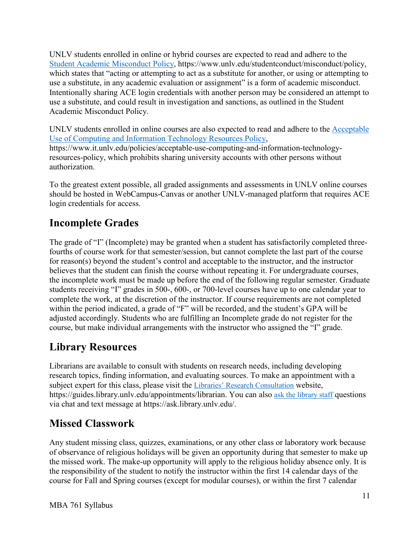Intentionally sharing ACE login credentials with another person may be considered an attempt to UNLV students enrolled in online or hybrid courses are expected to read and adhere to the [Student Academic Misconduct Policy,](https://www.unlv.edu/studentconduct/misconduct/policy) [https://www.unlv.edu/studentconduct/misconduct/policy,](https://www.unlv.edu/studentconduct/misconduct/policy) which states that "acting or attempting to act as a substitute for another, or using or attempting to use a substitute, in any academic evaluation or assignment" is a form of academic misconduct. use a substitute, and could result in investigation and sanctions, as outlined in the Student Academic Misconduct Policy.

UNLV students enrolled in online courses are also expected to read and adhere to the [Acceptable](https://www.it.unlv.edu/policies/acceptable-use-computing-and-information-technology-resources-policy)  [Use of Computing and Information Technology Resources Policy,](https://www.it.unlv.edu/policies/acceptable-use-computing-and-information-technology-resources-policy) <https://www.it.unlv.edu/policies/acceptable-use-computing-and-information-technology>resources-policy, which prohibits sharing university accounts with other persons without authorization.

To the greatest extent possible, all graded assignments and assessments in UNLV online courses should be hosted in WebCampus-Canvas or another UNLV-managed platform that requires ACE login credentials for access.

# **Incomplete Grades**

 students receiving "I" grades in 500-, 600-, or 700-level courses have up to one calendar year to within the period indicated, a grade of "F" will be recorded, and the student's GPA will be course, but make individual arrangements with the instructor who assigned the "I" grade. The grade of "I" (Incomplete) may be granted when a student has satisfactorily completed threefourths of course work for that semester/session, but cannot complete the last part of the course for reason(s) beyond the student's control and acceptable to the instructor, and the instructor believes that the student can finish the course without repeating it. For undergraduate courses, the incomplete work must be made up before the end of the following regular semester. Graduate complete the work, at the discretion of the instructor. If course requirements are not completed adjusted accordingly. Students who are fulfilling an Incomplete grade do not register for the

## **Library Resources**

<https://guides.library.unlv.edu/appointments/librarian>. You can also [ask the library staff](http://ask.library.unlv.edu/) questions Librarians are available to consult with students on research needs, including developing research topics, finding information, and evaluating sources. To make an appointment with a subject expert for this class, please visit the [Libraries' Research Consultation](http://guides.library.unlv.edu/appointments/librarian) website, via chat and text message at<https://ask.library.unlv.edu>/.

# **Missed Classwork**

Any student missing class, quizzes, examinations, or any other class or laboratory work because of observance of religious holidays will be given an opportunity during that semester to make up the missed work. The make-up opportunity will apply to the religious holiday absence only. It is the responsibility of the student to notify the instructor within the first 14 calendar days of the course for Fall and Spring courses (except for modular courses), or within the first 7 calendar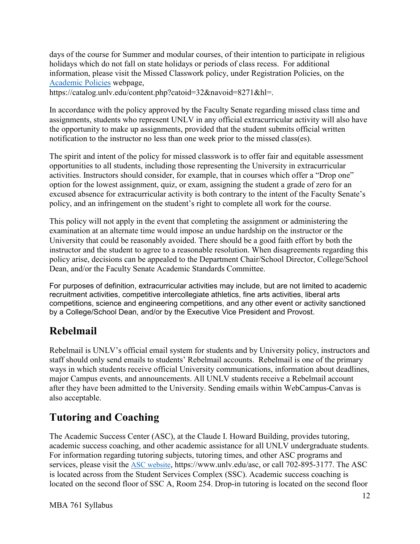[Academic Policies](https://catalog.unlv.edu/content.php?catoid=32&navoid=8271&hl=) webpage, days of the course for Summer and modular courses, of their intention to participate in religious holidays which do not fall on state holidays or periods of class recess. For additional information, please visit the Missed Classwork policy, under Registration Policies, on the

<https://catalog.unlv.edu/content.php?catoid=32&navoid=8271&hl>=.

In accordance with the policy approved by the Faculty Senate regarding missed class time and assignments, students who represent UNLV in any official extracurricular activity will also have the opportunity to make up assignments, provided that the student submits official written notification to the instructor no less than one week prior to the missed class(es).

 The spirit and intent of the policy for missed classwork is to offer fair and equitable assessment activities. Instructors should consider, for example, that in courses which offer a "Drop one" opportunities to all students, including those representing the University in extracurricular option for the lowest assignment, quiz, or exam, assigning the student a grade of zero for an excused absence for extracurricular activity is both contrary to the intent of the Faculty Senate's policy, and an infringement on the student's right to complete all work for the course.

 instructor and the student to agree to a reasonable resolution. When disagreements regarding this This policy will not apply in the event that completing the assignment or administering the examination at an alternate time would impose an undue hardship on the instructor or the University that could be reasonably avoided. There should be a good faith effort by both the policy arise, decisions can be appealed to the Department Chair/School Director, College/School Dean, and/or the Faculty Senate Academic Standards Committee.

 recruitment activities, competitive intercollegiate athletics, fine arts activities, liberal arts For purposes of definition, extracurricular activities may include, but are not limited to academic competitions, science and engineering competitions, and any other event or activity sanctioned by a College/School Dean, and/or by the Executive Vice President and Provost.

## **Rebelmail**

 Rebelmail is UNLV's official email system for students and by University policy, instructors and staff should only send emails to students' Rebelmail accounts. Rebelmail is one of the primary ways in which students receive official University communications, information about deadlines, major Campus events, and announcements. All UNLV students receive a Rebelmail account after they have been admitted to the University. Sending emails within WebCampus-Canvas is also acceptable.

# **Tutoring and Coaching**

 The Academic Success Center (ASC), at the Claude I. Howard Building, provides tutoring, academic success coaching, and other academic assistance for all UNLV undergraduate students. For information regarding tutoring subjects, tutoring times, and other ASC programs and services, please visit the [ASC website,](https://www.unlv.edu/asc) <https://www.unlv.edu/asc>, or call 702-895-3177. The ASC is located across from the Student Services Complex (SSC). Academic success coaching is located on the second floor of SSC A, Room 254. Drop-in tutoring is located on the second floor